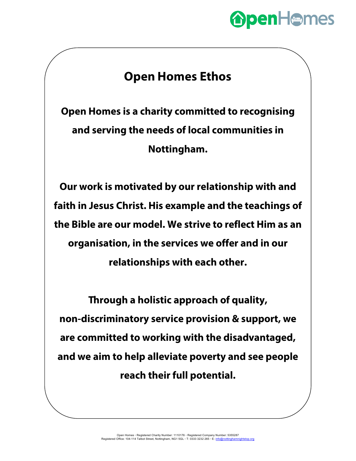## **OpenHomes**

## **Open Homes Ethos**

**Open Homes is a charity committed to recognising and serving the needs of local communities in Nottingham.**

**Our work is motivated by our relationship with and faith in Jesus Christ. His example and the teachings of the Bible are our model. We strive to reflect Him as an organisation, in the services we offer and in our relationships with each other.**

**Through a holistic approach of quality, non-discriminatory service provision & support, we are committed to working with the disadvantaged, and we aim to help alleviate poverty and see people reach their full potential.**